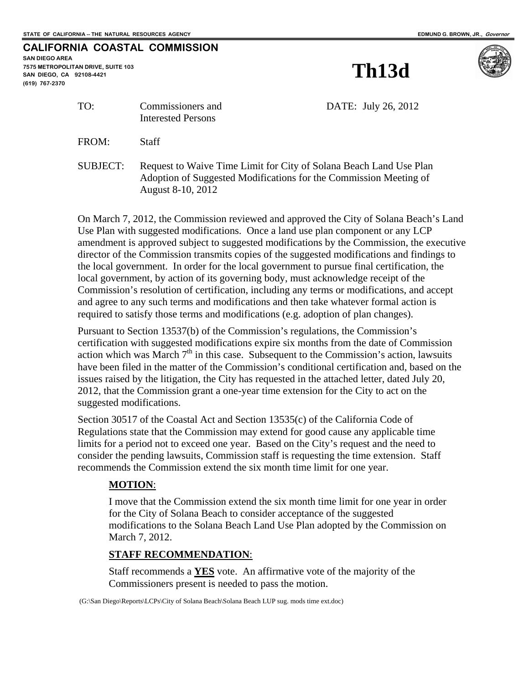## **CALIFORNIA COASTAL COMMISSION**

**SAN DIEGO AREA 7575 METROPOLITAN DRIVE, SUITE 103 SAN DIEGO, CA 92108-4421 (619) 767-2370**

**Th13d** 



TO: Commissioners and DATE: July 26, 2012 Interested Persons FROM: Staff SUBJECT: Request to Waive Time Limit for City of Solana Beach Land Use Plan Adoption of Suggested Modifications for the Commission Meeting of

On March 7, 2012, the Commission reviewed and approved the City of Solana Beach's Land Use Plan with suggested modifications. Once a land use plan component or any LCP amendment is approved subject to suggested modifications by the Commission, the executive director of the Commission transmits copies of the suggested modifications and findings to the local government. In order for the local government to pursue final certification, the local government, by action of its governing body, must acknowledge receipt of the Commission's resolution of certification, including any terms or modifications, and accept and agree to any such terms and modifications and then take whatever formal action is required to satisfy those terms and modifications (e.g. adoption of plan changes).

Pursuant to Section 13537(b) of the Commission's regulations, the Commission's certification with suggested modifications expire six months from the date of Commission action which was March  $7<sup>th</sup>$  in this case. Subsequent to the Commission's action, lawsuits have been filed in the matter of the Commission's conditional certification and, based on the issues raised by the litigation, the City has requested in the attached letter, dated July 20, 2012, that the Commission grant a one-year time extension for the City to act on the suggested modifications.

Section 30517 of the Coastal Act and Section 13535(c) of the California Code of Regulations state that the Commission may extend for good cause any applicable time limits for a period not to exceed one year. Based on the City's request and the need to consider the pending lawsuits, Commission staff is requesting the time extension. Staff recommends the Commission extend the six month time limit for one year.

## **MOTION**:

I move that the Commission extend the six month time limit for one year in order for the City of Solana Beach to consider acceptance of the suggested modifications to the Solana Beach Land Use Plan adopted by the Commission on March 7, 2012.

## **STAFF RECOMMENDATION**:

August 8-10, 2012

Staff recommends a **YES** vote. An affirmative vote of the majority of the Commissioners present is needed to pass the motion.

(G:\San Diego\Reports\LCPs\City of Solana Beach\Solana Beach LUP sug. mods time ext.doc)